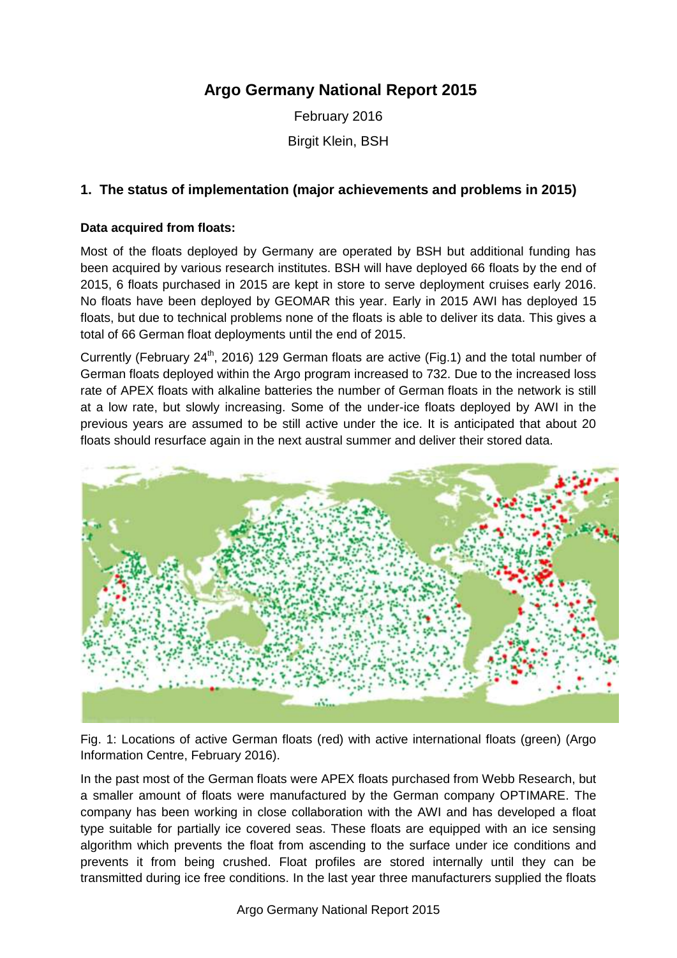# **Argo Germany National Report 2015**

February 2016 Birgit Klein, BSH

# **1. The status of implementation (major achievements and problems in 2015)**

#### **Data acquired from floats:**

Most of the floats deployed by Germany are operated by BSH but additional funding has been acquired by various research institutes. BSH will have deployed 66 floats by the end of 2015, 6 floats purchased in 2015 are kept in store to serve deployment cruises early 2016. No floats have been deployed by GEOMAR this year. Early in 2015 AWI has deployed 15 floats, but due to technical problems none of the floats is able to deliver its data. This gives a total of 66 German float deployments until the end of 2015.

Currently (February 24<sup>th</sup>, 2016) 129 German floats are active (Fig.1) and the total number of German floats deployed within the Argo program increased to 732. Due to the increased loss rate of APEX floats with alkaline batteries the number of German floats in the network is still at a low rate, but slowly increasing. Some of the under-ice floats deployed by AWI in the previous years are assumed to be still active under the ice. It is anticipated that about 20 floats should resurface again in the next austral summer and deliver their stored data.



Fig. 1: Locations of active German floats (red) with active international floats (green) (Argo Information Centre, February 2016).

In the past most of the German floats were APEX floats purchased from Webb Research, but a smaller amount of floats were manufactured by the German company OPTIMARE. The company has been working in close collaboration with the AWI and has developed a float type suitable for partially ice covered seas. These floats are equipped with an ice sensing algorithm which prevents the float from ascending to the surface under ice conditions and prevents it from being crushed. Float profiles are stored internally until they can be transmitted during ice free conditions. In the last year three manufacturers supplied the floats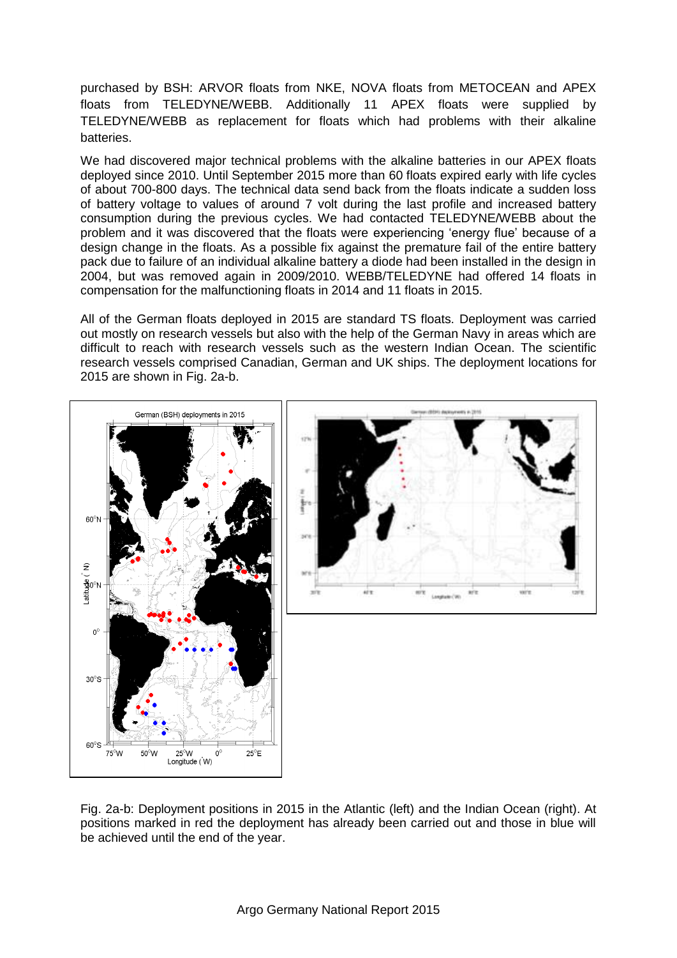purchased by BSH: ARVOR floats from NKE, NOVA floats from METOCEAN and APEX floats from TELEDYNE/WEBB. Additionally 11 APEX floats were supplied by TELEDYNE/WEBB as replacement for floats which had problems with their alkaline batteries.

We had discovered major technical problems with the alkaline batteries in our APEX floats deployed since 2010. Until September 2015 more than 60 floats expired early with life cycles of about 700-800 days. The technical data send back from the floats indicate a sudden loss of battery voltage to values of around 7 volt during the last profile and increased battery consumption during the previous cycles. We had contacted TELEDYNE/WEBB about the problem and it was discovered that the floats were experiencing 'energy flue' because of a design change in the floats. As a possible fix against the premature fail of the entire battery pack due to failure of an individual alkaline battery a diode had been installed in the design in 2004, but was removed again in 2009/2010. WEBB/TELEDYNE had offered 14 floats in compensation for the malfunctioning floats in 2014 and 11 floats in 2015.

All of the German floats deployed in 2015 are standard TS floats. Deployment was carried out mostly on research vessels but also with the help of the German Navy in areas which are difficult to reach with research vessels such as the western Indian Ocean. The scientific research vessels comprised Canadian, German and UK ships. The deployment locations for 2015 are shown in Fig. 2a-b.



Fig. 2a-b: Deployment positions in 2015 in the Atlantic (left) and the Indian Ocean (right). At positions marked in red the deployment has already been carried out and those in blue will be achieved until the end of the year.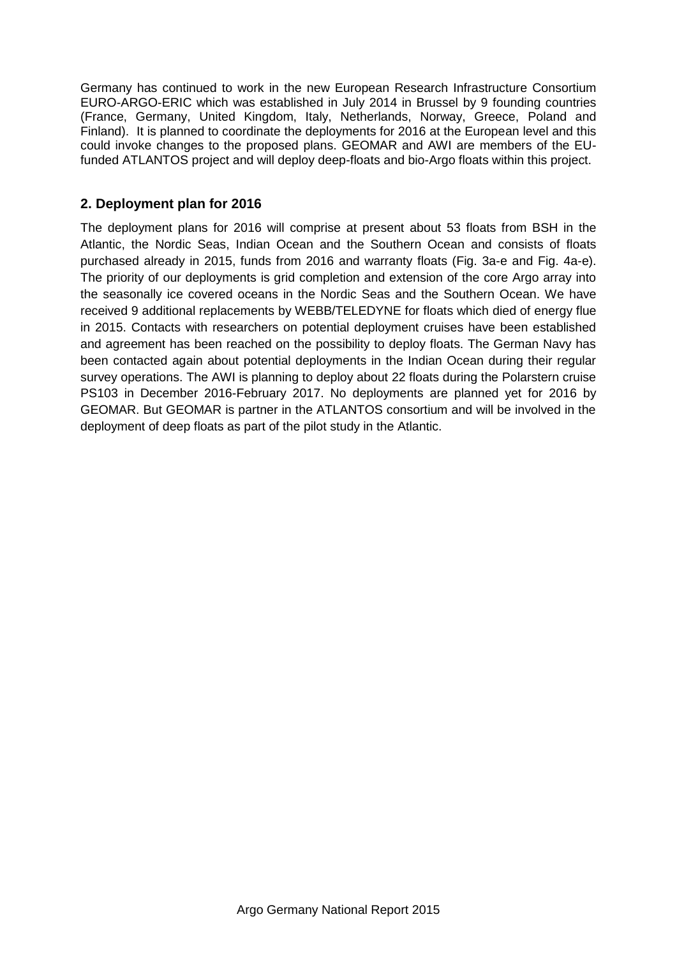Germany has continued to work in the new European Research Infrastructure Consortium EURO-ARGO-ERIC which was established in July 2014 in Brussel by 9 founding countries (France, Germany, United Kingdom, Italy, Netherlands, Norway, Greece, Poland and Finland). It is planned to coordinate the deployments for 2016 at the European level and this could invoke changes to the proposed plans. GEOMAR and AWI are members of the EUfunded ATLANTOS project and will deploy deep-floats and bio-Argo floats within this project.

# **2. Deployment plan for 2016**

The deployment plans for 2016 will comprise at present about 53 floats from BSH in the Atlantic, the Nordic Seas, Indian Ocean and the Southern Ocean and consists of floats purchased already in 2015, funds from 2016 and warranty floats (Fig. 3a-e and Fig. 4a-e). The priority of our deployments is grid completion and extension of the core Argo array into the seasonally ice covered oceans in the Nordic Seas and the Southern Ocean. We have received 9 additional replacements by WEBB/TELEDYNE for floats which died of energy flue in 2015. Contacts with researchers on potential deployment cruises have been established and agreement has been reached on the possibility to deploy floats. The German Navy has been contacted again about potential deployments in the Indian Ocean during their regular survey operations. The AWI is planning to deploy about 22 floats during the Polarstern cruise PS103 in December 2016-February 2017. No deployments are planned yet for 2016 by GEOMAR. But GEOMAR is partner in the ATLANTOS consortium and will be involved in the deployment of deep floats as part of the pilot study in the Atlantic.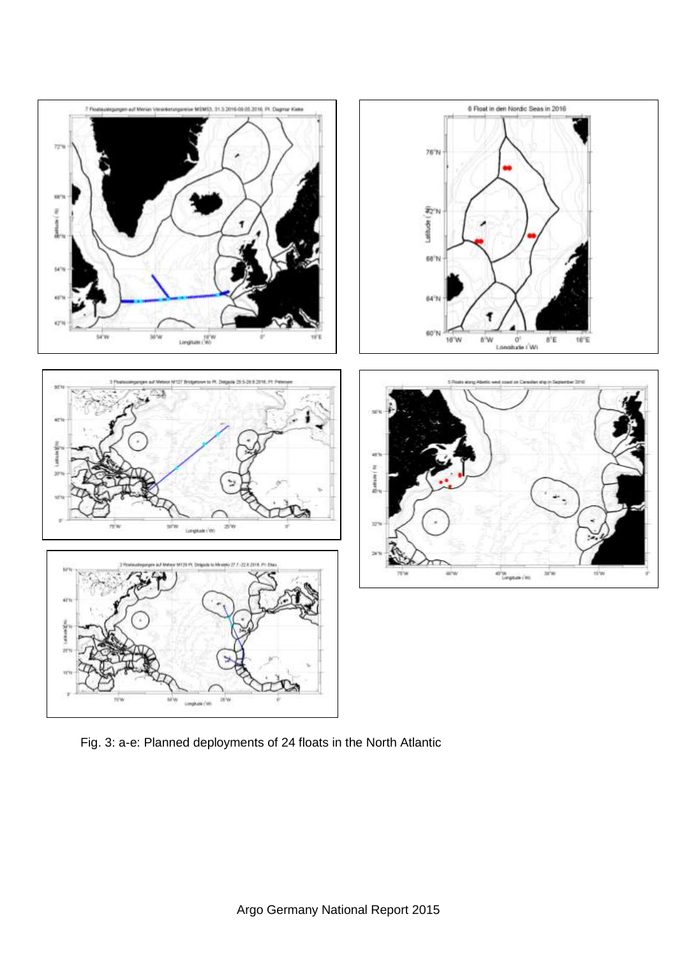

Fig. 3: a-e: Planned deployments of 24 floats in the North Atlantic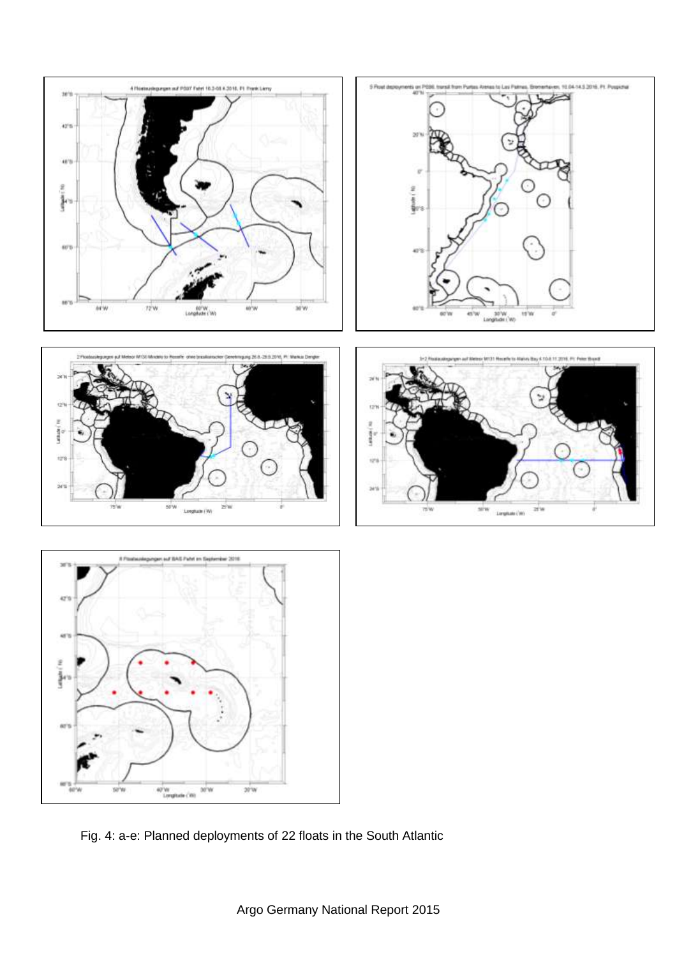

Fig. 4: a-e: Planned deployments of 22 floats in the South Atlantic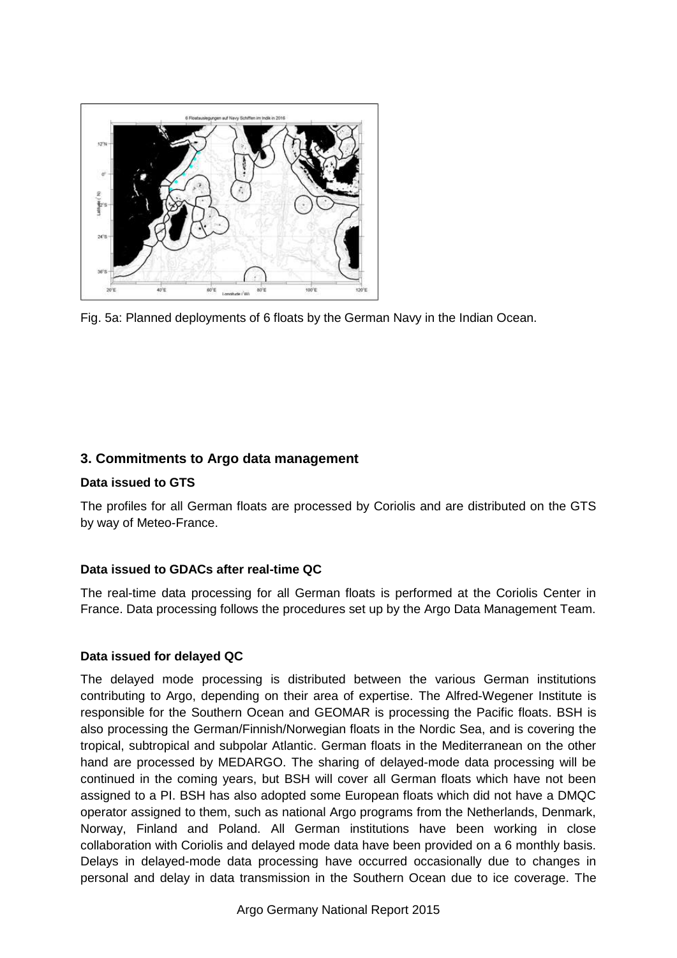

Fig. 5a: Planned deployments of 6 floats by the German Navy in the Indian Ocean.

# **3. Commitments to Argo data management**

#### **Data issued to GTS**

The profiles for all German floats are processed by Coriolis and are distributed on the GTS by way of Meteo-France.

### **Data issued to GDACs after real-time QC**

The real-time data processing for all German floats is performed at the Coriolis Center in France. Data processing follows the procedures set up by the Argo Data Management Team.

#### **Data issued for delayed QC**

The delayed mode processing is distributed between the various German institutions contributing to Argo, depending on their area of expertise. The Alfred-Wegener Institute is responsible for the Southern Ocean and GEOMAR is processing the Pacific floats. BSH is also processing the German/Finnish/Norwegian floats in the Nordic Sea, and is covering the tropical, subtropical and subpolar Atlantic. German floats in the Mediterranean on the other hand are processed by MEDARGO. The sharing of delayed-mode data processing will be continued in the coming years, but BSH will cover all German floats which have not been assigned to a PI. BSH has also adopted some European floats which did not have a DMQC operator assigned to them, such as national Argo programs from the Netherlands, Denmark, Norway, Finland and Poland. All German institutions have been working in close collaboration with Coriolis and delayed mode data have been provided on a 6 monthly basis. Delays in delayed-mode data processing have occurred occasionally due to changes in personal and delay in data transmission in the Southern Ocean due to ice coverage. The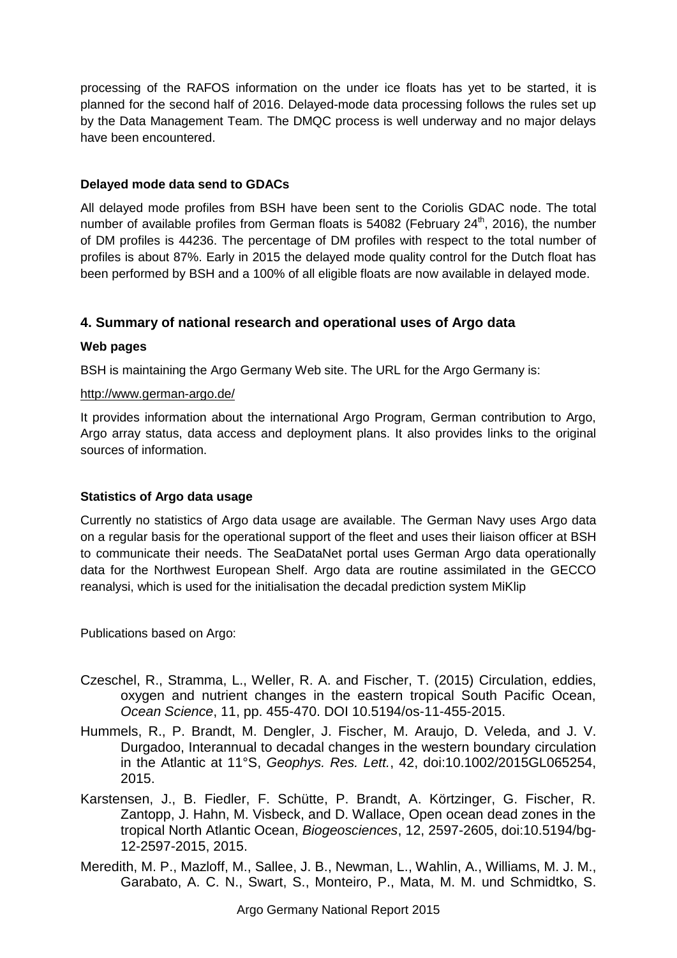processing of the RAFOS information on the under ice floats has yet to be started, it is planned for the second half of 2016. Delayed-mode data processing follows the rules set up by the Data Management Team. The DMQC process is well underway and no major delays have been encountered.

#### **Delayed mode data send to GDACs**

All delayed mode profiles from BSH have been sent to the Coriolis GDAC node. The total number of available profiles from German floats is  $54082$  (February  $24<sup>th</sup>$ , 2016), the number of DM profiles is 44236. The percentage of DM profiles with respect to the total number of profiles is about 87%. Early in 2015 the delayed mode quality control for the Dutch float has been performed by BSH and a 100% of all eligible floats are now available in delayed mode.

# **4. Summary of national research and operational uses of Argo data**

#### **Web pages**

BSH is maintaining the Argo Germany Web site. The URL for the Argo Germany is:

#### <http://www.german-argo.de/>

It provides information about the international Argo Program, German contribution to Argo, Argo array status, data access and deployment plans. It also provides links to the original sources of information.

#### **Statistics of Argo data usage**

Currently no statistics of Argo data usage are available. The German Navy uses Argo data on a regular basis for the operational support of the fleet and uses their liaison officer at BSH to communicate their needs. The SeaDataNet portal uses German Argo data operationally data for the Northwest European Shelf. Argo data are routine assimilated in the GECCO reanalysi, which is used for the initialisation the decadal prediction system MiKlip

Publications based on Argo:

- Czeschel, R., Stramma, L., Weller, R. A. and Fischer, T. (2015) Circulation, eddies, oxygen and nutrient changes in the eastern tropical South Pacific Ocean, *Ocean Science*, 11, pp. 455-470. DOI [10.5194/os-11-455-2015](http://dx.doi.org/10.5194/osd-11-2205-2014).
- Hummels, R., P. Brandt, M. Dengler, J. Fischer, M. Araujo, D. Veleda, and J. V. Durgadoo, Interannual to decadal changes in the western boundary circulation in the Atlantic at 11°S, *Geophys. Res. Lett.*, 42, doi:10.1002/2015GL065254, 2015.
- Karstensen, J., B. Fiedler, F. Schütte, P. Brandt, A. Körtzinger, G. Fischer, R. Zantopp, J. Hahn, M. Visbeck, and D. Wallace, Open ocean dead zones in the tropical North Atlantic Ocean, *Biogeosciences*, 12, 2597-2605, doi:10.5194/bg-12-2597-2015, 2015.
- Meredith, M. P., Mazloff, M., Sallee, J. B., Newman, L., Wahlin, A., Williams, M. J. M., Garabato, A. C. N., Swart, S., Monteiro, P., Mata, M. M. und Schmidtko, S.